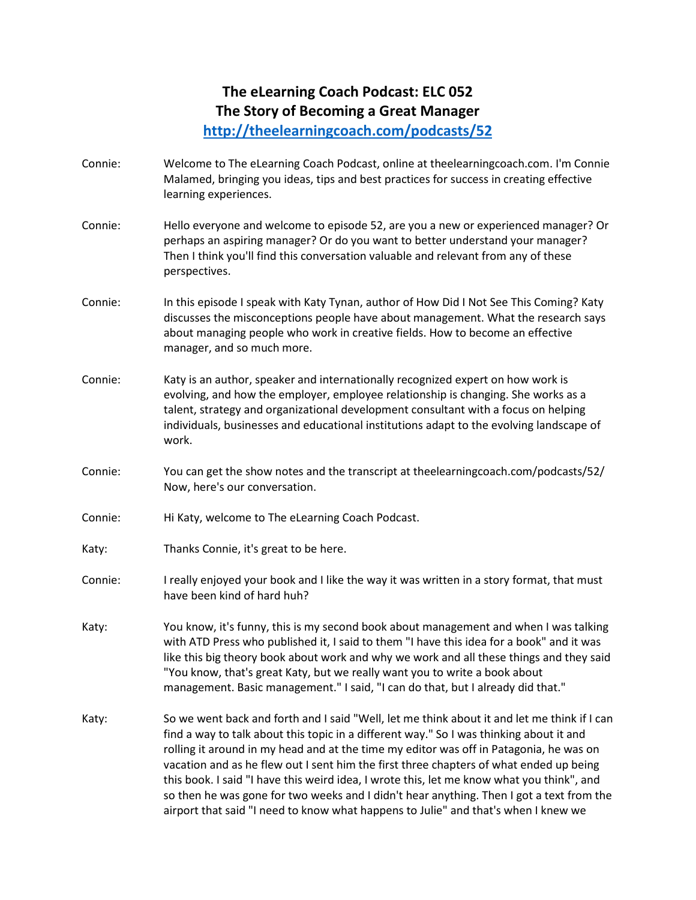# **The eLearning Coach Podcast: ELC 052 The Story of Becoming a Great Manager**

**<http://theelearningcoach.com/podcasts/52>**

- Connie: Welcome to The eLearning Coach Podcast, online at theelearningcoach.com. I'm Connie Malamed, bringing you ideas, tips and best practices for success in creating effective learning experiences.
- Connie: Hello everyone and welcome to episode 52, are you a new or experienced manager? Or perhaps an aspiring manager? Or do you want to better understand your manager? Then I think you'll find this conversation valuable and relevant from any of these perspectives.
- Connie: In this episode I speak with Katy Tynan, author of How Did I Not See This Coming? Katy discusses the misconceptions people have about management. What the research says about managing people who work in creative fields. How to become an effective manager, and so much more.
- Connie: Katy is an author, speaker and internationally recognized expert on how work is evolving, and how the employer, employee relationship is changing. She works as a talent, strategy and organizational development consultant with a focus on helping individuals, businesses and educational institutions adapt to the evolving landscape of work.
- Connie: You can get the show notes and the transcript at theelearningcoach.com/podcasts/52/ Now, here's our conversation.
- Connie: Hi Katy, welcome to The eLearning Coach Podcast.
- Katy: Thanks Connie, it's great to be here.
- Connie: I really enjoyed your book and I like the way it was written in a story format, that must have been kind of hard huh?
- Katy: You know, it's funny, this is my second book about management and when I was talking with ATD Press who published it, I said to them "I have this idea for a book" and it was like this big theory book about work and why we work and all these things and they said "You know, that's great Katy, but we really want you to write a book about management. Basic management." I said, "I can do that, but I already did that."
- Katy: So we went back and forth and I said "Well, let me think about it and let me think if I can find a way to talk about this topic in a different way." So I was thinking about it and rolling it around in my head and at the time my editor was off in Patagonia, he was on vacation and as he flew out I sent him the first three chapters of what ended up being this book. I said "I have this weird idea, I wrote this, let me know what you think", and so then he was gone for two weeks and I didn't hear anything. Then I got a text from the airport that said "I need to know what happens to Julie" and that's when I knew we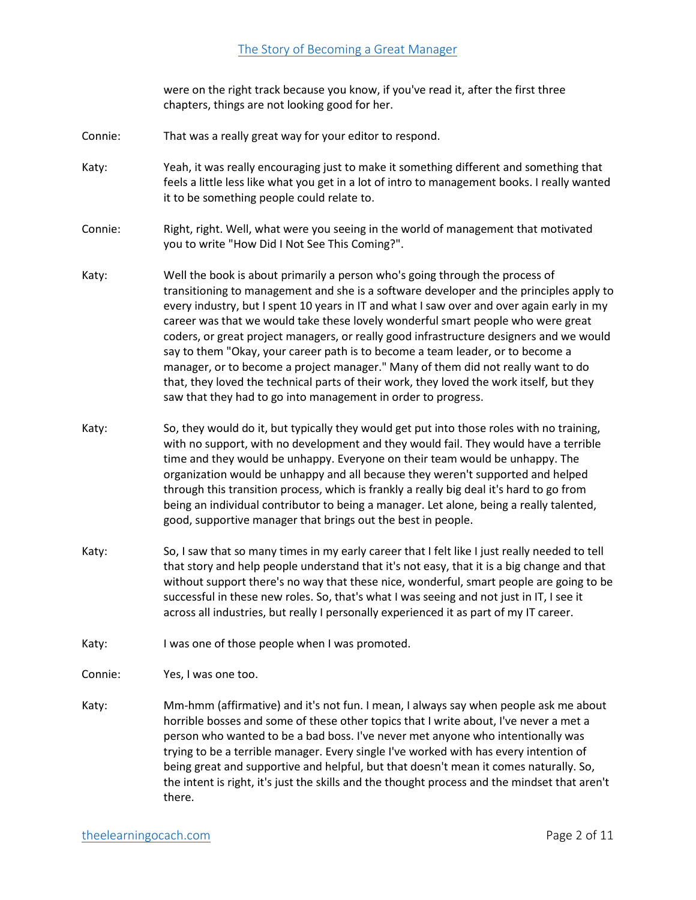were on the right track because you know, if you've read it, after the first three chapters, things are not looking good for her.

- Connie: That was a really great way for your editor to respond.
- Katy: Yeah, it was really encouraging just to make it something different and something that feels a little less like what you get in a lot of intro to management books. I really wanted it to be something people could relate to.
- Connie: Right, right. Well, what were you seeing in the world of management that motivated you to write "How Did I Not See This Coming?".
- Katy: Well the book is about primarily a person who's going through the process of transitioning to management and she is a software developer and the principles apply to every industry, but I spent 10 years in IT and what I saw over and over again early in my career was that we would take these lovely wonderful smart people who were great coders, or great project managers, or really good infrastructure designers and we would say to them "Okay, your career path is to become a team leader, or to become a manager, or to become a project manager." Many of them did not really want to do that, they loved the technical parts of their work, they loved the work itself, but they saw that they had to go into management in order to progress.
- Katy: So, they would do it, but typically they would get put into those roles with no training, with no support, with no development and they would fail. They would have a terrible time and they would be unhappy. Everyone on their team would be unhappy. The organization would be unhappy and all because they weren't supported and helped through this transition process, which is frankly a really big deal it's hard to go from being an individual contributor to being a manager. Let alone, being a really talented, good, supportive manager that brings out the best in people.
- Katy: So, I saw that so many times in my early career that I felt like I just really needed to tell that story and help people understand that it's not easy, that it is a big change and that without support there's no way that these nice, wonderful, smart people are going to be successful in these new roles. So, that's what I was seeing and not just in IT, I see it across all industries, but really I personally experienced it as part of my IT career.
- Katy: I was one of those people when I was promoted.

Connie: Yes, I was one too.

Katy: Mm-hmm (affirmative) and it's not fun. I mean, I always say when people ask me about horrible bosses and some of these other topics that I write about, I've never a met a person who wanted to be a bad boss. I've never met anyone who intentionally was trying to be a terrible manager. Every single I've worked with has every intention of being great and supportive and helpful, but that doesn't mean it comes naturally. So, the intent is right, it's just the skills and the thought process and the mindset that aren't there.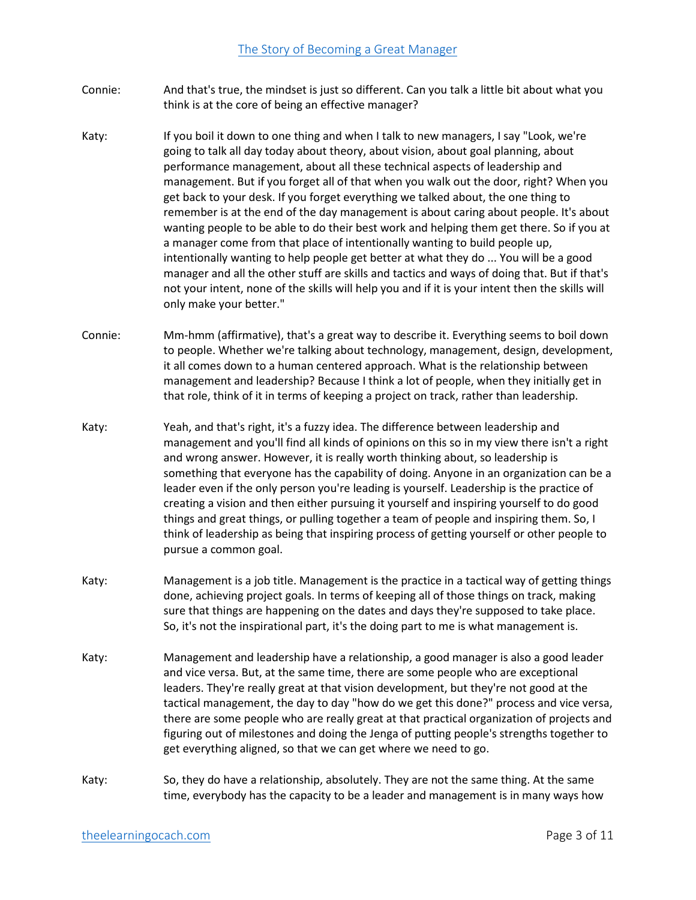- Connie: And that's true, the mindset is just so different. Can you talk a little bit about what you think is at the core of being an effective manager?
- Katy: If you boil it down to one thing and when I talk to new managers, I say "Look, we're going to talk all day today about theory, about vision, about goal planning, about performance management, about all these technical aspects of leadership and management. But if you forget all of that when you walk out the door, right? When you get back to your desk. If you forget everything we talked about, the one thing to remember is at the end of the day management is about caring about people. It's about wanting people to be able to do their best work and helping them get there. So if you at a manager come from that place of intentionally wanting to build people up, intentionally wanting to help people get better at what they do ... You will be a good manager and all the other stuff are skills and tactics and ways of doing that. But if that's not your intent, none of the skills will help you and if it is your intent then the skills will only make your better."
- Connie: Mm-hmm (affirmative), that's a great way to describe it. Everything seems to boil down to people. Whether we're talking about technology, management, design, development, it all comes down to a human centered approach. What is the relationship between management and leadership? Because I think a lot of people, when they initially get in that role, think of it in terms of keeping a project on track, rather than leadership.
- Katy: Yeah, and that's right, it's a fuzzy idea. The difference between leadership and management and you'll find all kinds of opinions on this so in my view there isn't a right and wrong answer. However, it is really worth thinking about, so leadership is something that everyone has the capability of doing. Anyone in an organization can be a leader even if the only person you're leading is yourself. Leadership is the practice of creating a vision and then either pursuing it yourself and inspiring yourself to do good things and great things, or pulling together a team of people and inspiring them. So, I think of leadership as being that inspiring process of getting yourself or other people to pursue a common goal.
- Katy: Management is a job title. Management is the practice in a tactical way of getting things done, achieving project goals. In terms of keeping all of those things on track, making sure that things are happening on the dates and days they're supposed to take place. So, it's not the inspirational part, it's the doing part to me is what management is.
- Katy: Management and leadership have a relationship, a good manager is also a good leader and vice versa. But, at the same time, there are some people who are exceptional leaders. They're really great at that vision development, but they're not good at the tactical management, the day to day "how do we get this done?" process and vice versa, there are some people who are really great at that practical organization of projects and figuring out of milestones and doing the Jenga of putting people's strengths together to get everything aligned, so that we can get where we need to go.
- Katy: So, they do have a relationship, absolutely. They are not the same thing. At the same time, everybody has the capacity to be a leader and management is in many ways how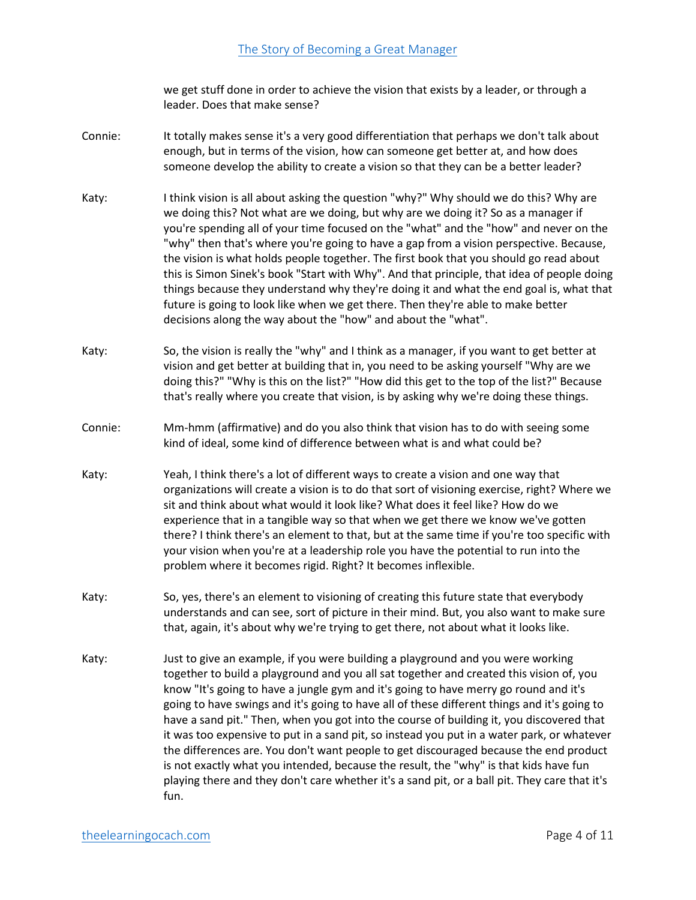we get stuff done in order to achieve the vision that exists by a leader, or through a leader. Does that make sense?

- Connie: It totally makes sense it's a very good differentiation that perhaps we don't talk about enough, but in terms of the vision, how can someone get better at, and how does someone develop the ability to create a vision so that they can be a better leader?
- Katy: I think vision is all about asking the question "why?" Why should we do this? Why are we doing this? Not what are we doing, but why are we doing it? So as a manager if you're spending all of your time focused on the "what" and the "how" and never on the "why" then that's where you're going to have a gap from a vision perspective. Because, the vision is what holds people together. The first book that you should go read about this is Simon Sinek's book "Start with Why". And that principle, that idea of people doing things because they understand why they're doing it and what the end goal is, what that future is going to look like when we get there. Then they're able to make better decisions along the way about the "how" and about the "what".
- Katy: So, the vision is really the "why" and I think as a manager, if you want to get better at vision and get better at building that in, you need to be asking yourself "Why are we doing this?" "Why is this on the list?" "How did this get to the top of the list?" Because that's really where you create that vision, is by asking why we're doing these things.
- Connie: Mm-hmm (affirmative) and do you also think that vision has to do with seeing some kind of ideal, some kind of difference between what is and what could be?
- Katy: Yeah, I think there's a lot of different ways to create a vision and one way that organizations will create a vision is to do that sort of visioning exercise, right? Where we sit and think about what would it look like? What does it feel like? How do we experience that in a tangible way so that when we get there we know we've gotten there? I think there's an element to that, but at the same time if you're too specific with your vision when you're at a leadership role you have the potential to run into the problem where it becomes rigid. Right? It becomes inflexible.
- Katy: So, yes, there's an element to visioning of creating this future state that everybody understands and can see, sort of picture in their mind. But, you also want to make sure that, again, it's about why we're trying to get there, not about what it looks like.
- Katy: Just to give an example, if you were building a playground and you were working together to build a playground and you all sat together and created this vision of, you know "It's going to have a jungle gym and it's going to have merry go round and it's going to have swings and it's going to have all of these different things and it's going to have a sand pit." Then, when you got into the course of building it, you discovered that it was too expensive to put in a sand pit, so instead you put in a water park, or whatever the differences are. You don't want people to get discouraged because the end product is not exactly what you intended, because the result, the "why" is that kids have fun playing there and they don't care whether it's a sand pit, or a ball pit. They care that it's fun.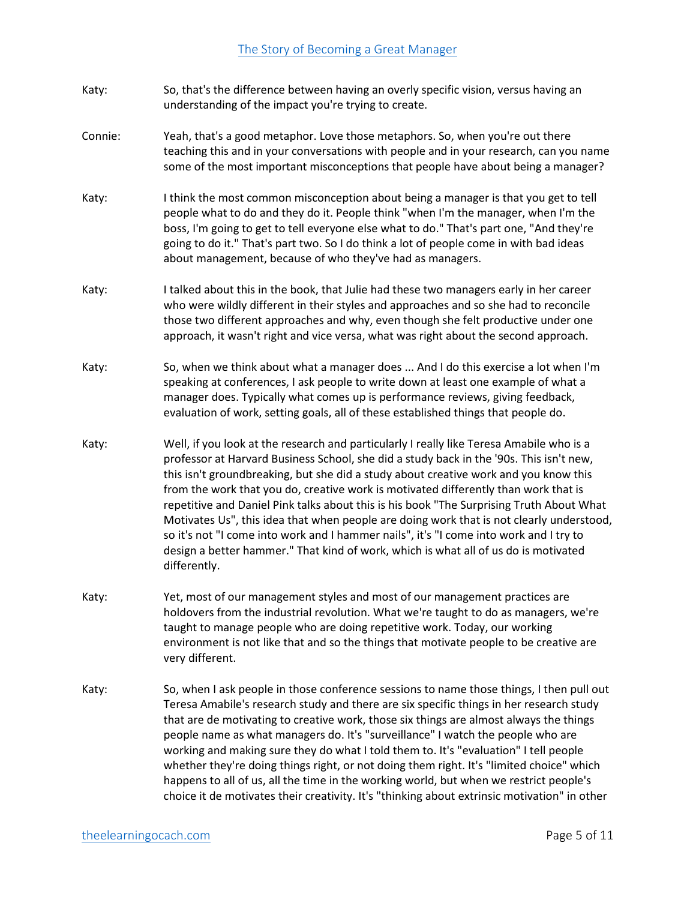- Katy: So, that's the difference between having an overly specific vision, versus having an understanding of the impact you're trying to create.
- Connie: Yeah, that's a good metaphor. Love those metaphors. So, when you're out there teaching this and in your conversations with people and in your research, can you name some of the most important misconceptions that people have about being a manager?
- Katy: I think the most common misconception about being a manager is that you get to tell people what to do and they do it. People think "when I'm the manager, when I'm the boss, I'm going to get to tell everyone else what to do." That's part one, "And they're going to do it." That's part two. So I do think a lot of people come in with bad ideas about management, because of who they've had as managers.
- Katy: I talked about this in the book, that Julie had these two managers early in her career who were wildly different in their styles and approaches and so she had to reconcile those two different approaches and why, even though she felt productive under one approach, it wasn't right and vice versa, what was right about the second approach.
- Katy: So, when we think about what a manager does ... And I do this exercise a lot when I'm speaking at conferences, I ask people to write down at least one example of what a manager does. Typically what comes up is performance reviews, giving feedback, evaluation of work, setting goals, all of these established things that people do.
- Katy: Well, if you look at the research and particularly I really like Teresa Amabile who is a professor at Harvard Business School, she did a study back in the '90s. This isn't new, this isn't groundbreaking, but she did a study about creative work and you know this from the work that you do, creative work is motivated differently than work that is repetitive and Daniel Pink talks about this is his book "The Surprising Truth About What Motivates Us", this idea that when people are doing work that is not clearly understood, so it's not "I come into work and I hammer nails", it's "I come into work and I try to design a better hammer." That kind of work, which is what all of us do is motivated differently.
- Katy: Yet, most of our management styles and most of our management practices are holdovers from the industrial revolution. What we're taught to do as managers, we're taught to manage people who are doing repetitive work. Today, our working environment is not like that and so the things that motivate people to be creative are very different.
- Katy: So, when I ask people in those conference sessions to name those things, I then pull out Teresa Amabile's research study and there are six specific things in her research study that are de motivating to creative work, those six things are almost always the things people name as what managers do. It's "surveillance" I watch the people who are working and making sure they do what I told them to. It's "evaluation" I tell people whether they're doing things right, or not doing them right. It's "limited choice" which happens to all of us, all the time in the working world, but when we restrict people's choice it de motivates their creativity. It's "thinking about extrinsic motivation" in other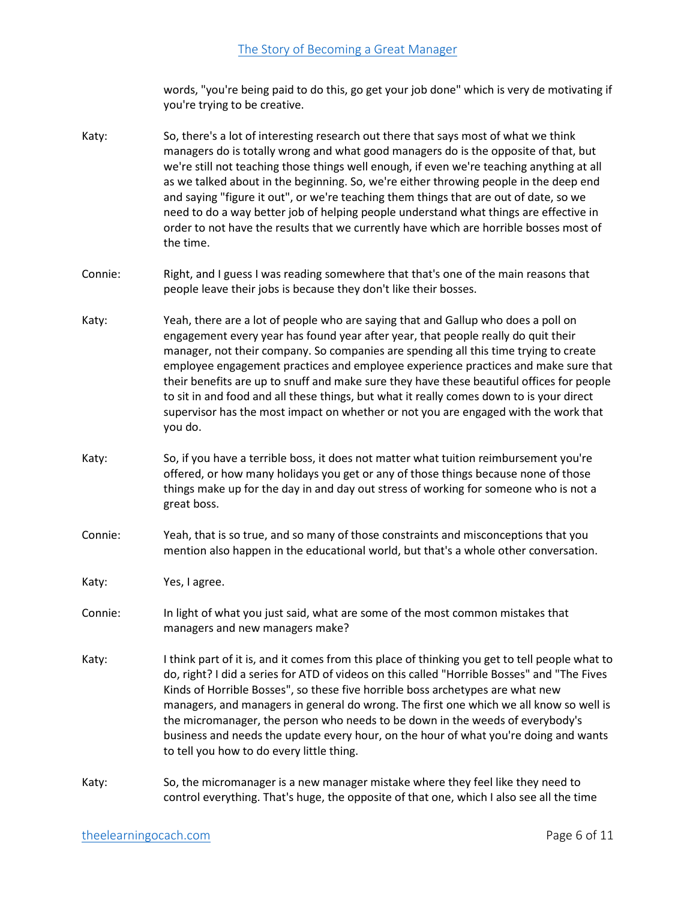words, "you're being paid to do this, go get your job done" which is very de motivating if you're trying to be creative.

- Katy: So, there's a lot of interesting research out there that says most of what we think managers do is totally wrong and what good managers do is the opposite of that, but we're still not teaching those things well enough, if even we're teaching anything at all as we talked about in the beginning. So, we're either throwing people in the deep end and saying "figure it out", or we're teaching them things that are out of date, so we need to do a way better job of helping people understand what things are effective in order to not have the results that we currently have which are horrible bosses most of the time.
- Connie: Right, and I guess I was reading somewhere that that's one of the main reasons that people leave their jobs is because they don't like their bosses.
- Katy: Yeah, there are a lot of people who are saying that and Gallup who does a poll on engagement every year has found year after year, that people really do quit their manager, not their company. So companies are spending all this time trying to create employee engagement practices and employee experience practices and make sure that their benefits are up to snuff and make sure they have these beautiful offices for people to sit in and food and all these things, but what it really comes down to is your direct supervisor has the most impact on whether or not you are engaged with the work that you do.
- Katy: So, if you have a terrible boss, it does not matter what tuition reimbursement you're offered, or how many holidays you get or any of those things because none of those things make up for the day in and day out stress of working for someone who is not a great boss.
- Connie: Yeah, that is so true, and so many of those constraints and misconceptions that you mention also happen in the educational world, but that's a whole other conversation.
- Katy: Yes, I agree.
- Connie: In light of what you just said, what are some of the most common mistakes that managers and new managers make?
- Katy: I think part of it is, and it comes from this place of thinking you get to tell people what to do, right? I did a series for ATD of videos on this called "Horrible Bosses" and "The Fives Kinds of Horrible Bosses", so these five horrible boss archetypes are what new managers, and managers in general do wrong. The first one which we all know so well is the micromanager, the person who needs to be down in the weeds of everybody's business and needs the update every hour, on the hour of what you're doing and wants to tell you how to do every little thing.
- Katy: So, the micromanager is a new manager mistake where they feel like they need to control everything. That's huge, the opposite of that one, which I also see all the time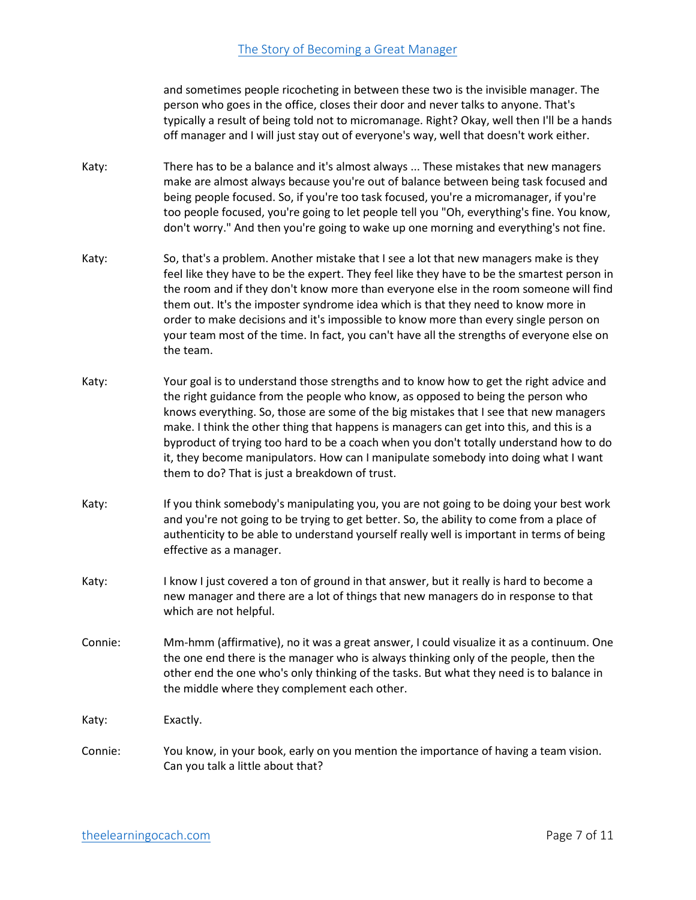and sometimes people ricocheting in between these two is the invisible manager. The person who goes in the office, closes their door and never talks to anyone. That's typically a result of being told not to micromanage. Right? Okay, well then I'll be a hands off manager and I will just stay out of everyone's way, well that doesn't work either.

- Katy: There has to be a balance and it's almost always ... These mistakes that new managers make are almost always because you're out of balance between being task focused and being people focused. So, if you're too task focused, you're a micromanager, if you're too people focused, you're going to let people tell you "Oh, everything's fine. You know, don't worry." And then you're going to wake up one morning and everything's not fine.
- Katy: So, that's a problem. Another mistake that I see a lot that new managers make is they feel like they have to be the expert. They feel like they have to be the smartest person in the room and if they don't know more than everyone else in the room someone will find them out. It's the imposter syndrome idea which is that they need to know more in order to make decisions and it's impossible to know more than every single person on your team most of the time. In fact, you can't have all the strengths of everyone else on the team.
- Katy: Your goal is to understand those strengths and to know how to get the right advice and the right guidance from the people who know, as opposed to being the person who knows everything. So, those are some of the big mistakes that I see that new managers make. I think the other thing that happens is managers can get into this, and this is a byproduct of trying too hard to be a coach when you don't totally understand how to do it, they become manipulators. How can I manipulate somebody into doing what I want them to do? That is just a breakdown of trust.
- Katy: If you think somebody's manipulating you, you are not going to be doing your best work and you're not going to be trying to get better. So, the ability to come from a place of authenticity to be able to understand yourself really well is important in terms of being effective as a manager.
- Katy: I know I just covered a ton of ground in that answer, but it really is hard to become a new manager and there are a lot of things that new managers do in response to that which are not helpful.
- Connie: Mm-hmm (affirmative), no it was a great answer, I could visualize it as a continuum. One the one end there is the manager who is always thinking only of the people, then the other end the one who's only thinking of the tasks. But what they need is to balance in the middle where they complement each other.

Katy: Exactly.

Connie: You know, in your book, early on you mention the importance of having a team vision. Can you talk a little about that?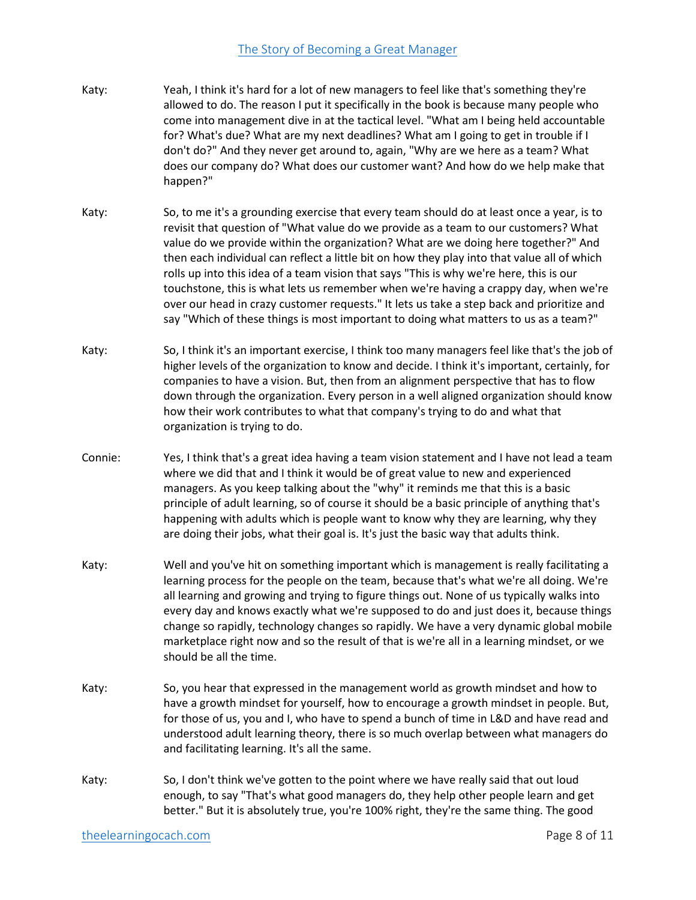- Katy: Yeah, I think it's hard for a lot of new managers to feel like that's something they're allowed to do. The reason I put it specifically in the book is because many people who come into management dive in at the tactical level. "What am I being held accountable for? What's due? What are my next deadlines? What am I going to get in trouble if I don't do?" And they never get around to, again, "Why are we here as a team? What does our company do? What does our customer want? And how do we help make that happen?"
- Katy: So, to me it's a grounding exercise that every team should do at least once a year, is to revisit that question of "What value do we provide as a team to our customers? What value do we provide within the organization? What are we doing here together?" And then each individual can reflect a little bit on how they play into that value all of which rolls up into this idea of a team vision that says "This is why we're here, this is our touchstone, this is what lets us remember when we're having a crappy day, when we're over our head in crazy customer requests." It lets us take a step back and prioritize and say "Which of these things is most important to doing what matters to us as a team?"
- Katy: So, I think it's an important exercise, I think too many managers feel like that's the job of higher levels of the organization to know and decide. I think it's important, certainly, for companies to have a vision. But, then from an alignment perspective that has to flow down through the organization. Every person in a well aligned organization should know how their work contributes to what that company's trying to do and what that organization is trying to do.
- Connie: Yes, I think that's a great idea having a team vision statement and I have not lead a team where we did that and I think it would be of great value to new and experienced managers. As you keep talking about the "why" it reminds me that this is a basic principle of adult learning, so of course it should be a basic principle of anything that's happening with adults which is people want to know why they are learning, why they are doing their jobs, what their goal is. It's just the basic way that adults think.
- Katy: Well and you've hit on something important which is management is really facilitating a learning process for the people on the team, because that's what we're all doing. We're all learning and growing and trying to figure things out. None of us typically walks into every day and knows exactly what we're supposed to do and just does it, because things change so rapidly, technology changes so rapidly. We have a very dynamic global mobile marketplace right now and so the result of that is we're all in a learning mindset, or we should be all the time.
- Katy: So, you hear that expressed in the management world as growth mindset and how to have a growth mindset for yourself, how to encourage a growth mindset in people. But, for those of us, you and I, who have to spend a bunch of time in L&D and have read and understood adult learning theory, there is so much overlap between what managers do and facilitating learning. It's all the same.
- Katy: So, I don't think we've gotten to the point where we have really said that out loud enough, to say "That's what good managers do, they help other people learn and get better." But it is absolutely true, you're 100% right, they're the same thing. The good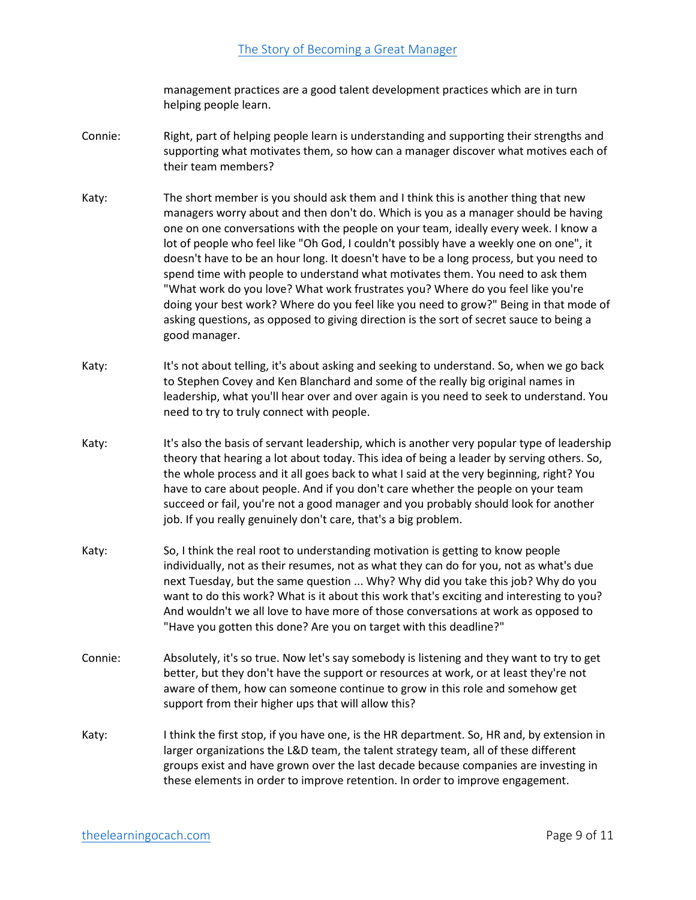management practices are a good talent development practices which are in turn helping people learn.

- Connie: Right, part of helping people learn is understanding and supporting their strengths and supporting what motivates them, so how can a manager discover what motives each of their team members?
- Katy: The short member is you should ask them and I think this is another thing that new managers worry about and then don't do. Which is you as a manager should be having one on one conversations with the people on your team, ideally every week. I know a lot of people who feel like "Oh God, I couldn't possibly have a weekly one on one", it doesn't have to be an hour long. It doesn't have to be a long process, but you need to spend time with people to understand what motivates them. You need to ask them "What work do you love? What work frustrates you? Where do you feel like you're doing your best work? Where do you feel like you need to grow?" Being in that mode of asking questions, as opposed to giving direction is the sort of secret sauce to being a good manager.
- Katy: It's not about telling, it's about asking and seeking to understand. So, when we go back to Stephen Covey and Ken Blanchard and some of the really big original names in leadership, what you'll hear over and over again is you need to seek to understand. You need to try to truly connect with people.
- Katy: It's also the basis of servant leadership, which is another very popular type of leadership theory that hearing a lot about today. This idea of being a leader by serving others. So, the whole process and it all goes back to what I said at the very beginning, right? You have to care about people. And if you don't care whether the people on your team succeed or fail, you're not a good manager and you probably should look for another job. If you really genuinely don't care, that's a big problem.
- Katy: So, I think the real root to understanding motivation is getting to know people individually, not as their resumes, not as what they can do for you, not as what's due next Tuesday, but the same question ... Why? Why did you take this job? Why do you want to do this work? What is it about this work that's exciting and interesting to you? And wouldn't we all love to have more of those conversations at work as opposed to "Have you gotten this done? Are you on target with this deadline?"
- Connie: Absolutely, it's so true. Now let's say somebody is listening and they want to try to get better, but they don't have the support or resources at work, or at least they're not aware of them, how can someone continue to grow in this role and somehow get support from their higher ups that will allow this?
- Katy: I think the first stop, if you have one, is the HR department. So, HR and, by extension in larger organizations the L&D team, the talent strategy team, all of these different groups exist and have grown over the last decade because companies are investing in these elements in order to improve retention. In order to improve engagement.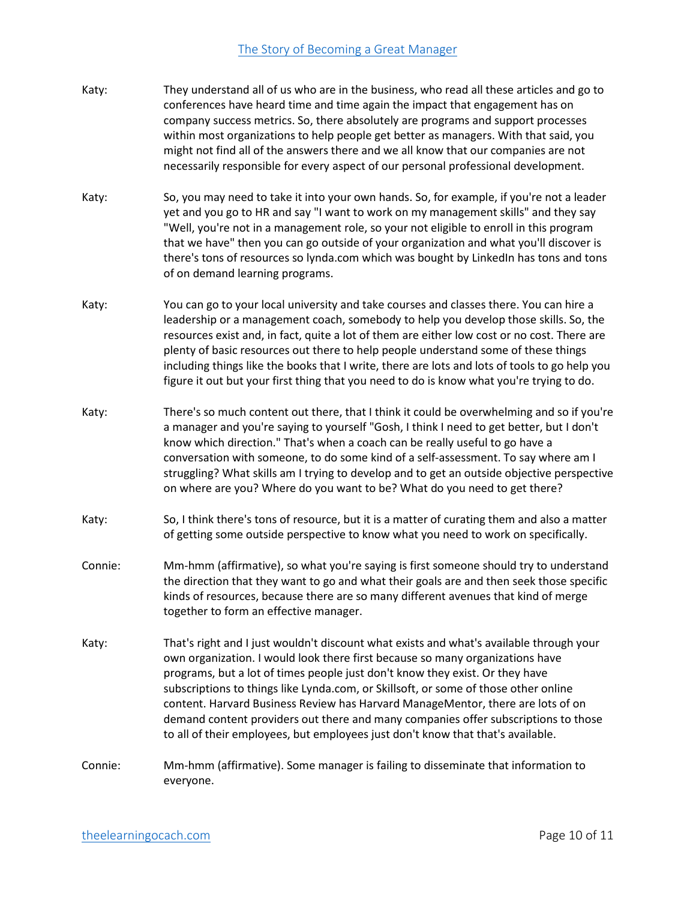- Katy: They understand all of us who are in the business, who read all these articles and go to conferences have heard time and time again the impact that engagement has on company success metrics. So, there absolutely are programs and support processes within most organizations to help people get better as managers. With that said, you might not find all of the answers there and we all know that our companies are not necessarily responsible for every aspect of our personal professional development.
- Katy: So, you may need to take it into your own hands. So, for example, if you're not a leader yet and you go to HR and say "I want to work on my management skills" and they say "Well, you're not in a management role, so your not eligible to enroll in this program that we have" then you can go outside of your organization and what you'll discover is there's tons of resources so lynda.com which was bought by LinkedIn has tons and tons of on demand learning programs.
- Katy: You can go to your local university and take courses and classes there. You can hire a leadership or a management coach, somebody to help you develop those skills. So, the resources exist and, in fact, quite a lot of them are either low cost or no cost. There are plenty of basic resources out there to help people understand some of these things including things like the books that I write, there are lots and lots of tools to go help you figure it out but your first thing that you need to do is know what you're trying to do.
- Katy: There's so much content out there, that I think it could be overwhelming and so if you're a manager and you're saying to yourself "Gosh, I think I need to get better, but I don't know which direction." That's when a coach can be really useful to go have a conversation with someone, to do some kind of a self-assessment. To say where am I struggling? What skills am I trying to develop and to get an outside objective perspective on where are you? Where do you want to be? What do you need to get there?
- Katy: So, I think there's tons of resource, but it is a matter of curating them and also a matter of getting some outside perspective to know what you need to work on specifically.
- Connie: Mm-hmm (affirmative), so what you're saying is first someone should try to understand the direction that they want to go and what their goals are and then seek those specific kinds of resources, because there are so many different avenues that kind of merge together to form an effective manager.
- Katy: That's right and I just wouldn't discount what exists and what's available through your own organization. I would look there first because so many organizations have programs, but a lot of times people just don't know they exist. Or they have subscriptions to things like Lynda.com, or Skillsoft, or some of those other online content. Harvard Business Review has Harvard ManageMentor, there are lots of on demand content providers out there and many companies offer subscriptions to those to all of their employees, but employees just don't know that that's available.
- Connie: Mm-hmm (affirmative). Some manager is failing to disseminate that information to everyone.